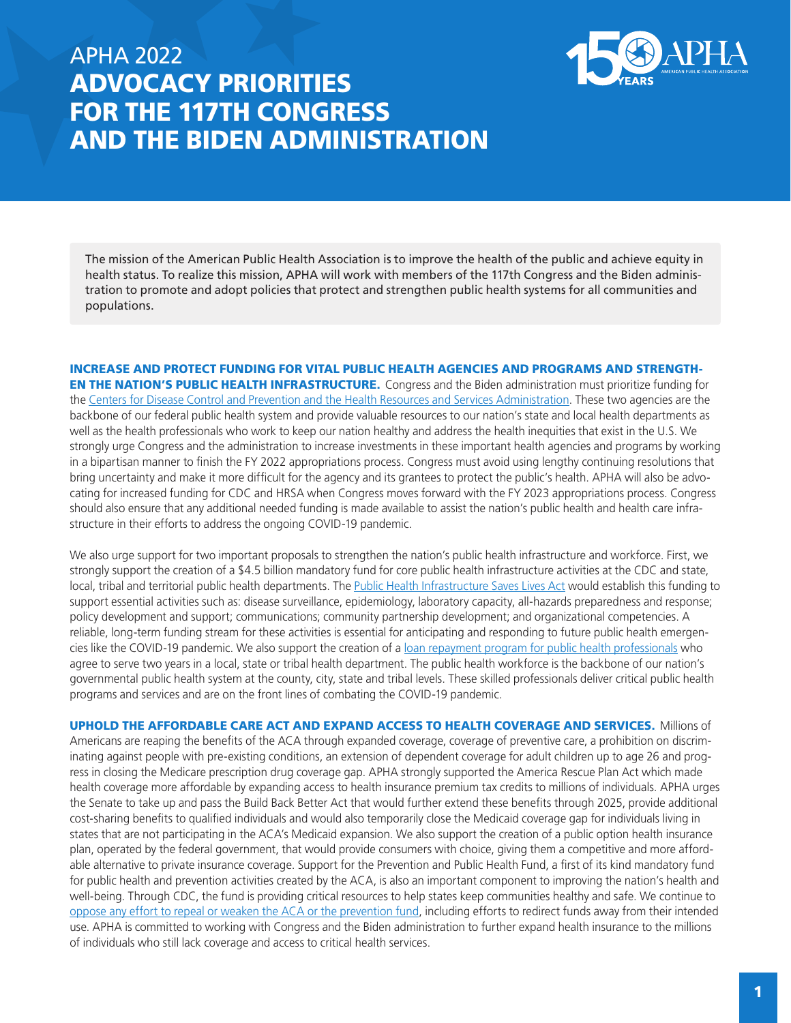## APHA 2022 ADVOCACY PRIORITIES FOR THE 117TH CONGRESS AND THE BIDEN ADMINISTRATION



The mission of the American Public Health Association is to improve the health of the public and achieve equity in health status. To realize this mission, APHA will work with members of the 117th Congress and the Biden administration to promote and adopt policies that protect and strengthen public health systems for all communities and populations.

INCREASE AND PROTECT FUNDING FOR VITAL PUBLIC HEALTH AGENCIES AND PROGRAMS AND STRENGTH-EN THE NATION'S PUBLIC HEALTH INFRASTRUCTURE. Congress and the Biden administration must prioritize funding for the [Centers for Disease Control and Prevention and the Health Resources and Services Administration.](https://www.apha.org/-/media/files/pdf/advocacy/speak/200611_cdc_hrsa.ashx) These two agencies are the backbone of our federal public health system and provide valuable resources to our nation's state and local health departments as well as the health professionals who work to keep our nation healthy and address the health inequities that exist in the U.S. We strongly urge Congress and the administration to increase investments in these important health agencies and programs by working in a bipartisan manner to finish the FY 2022 appropriations process. Congress must avoid using lengthy continuing resolutions that bring uncertainty and make it more difficult for the agency and its grantees to protect the public's health. APHA will also be advocating for increased funding for CDC and HRSA when Congress moves forward with the FY 2023 appropriations process. Congress should also ensure that any additional needed funding is made available to assist the nation's public health and health care infrastructure in their efforts to address the ongoing COVID-19 pandemic.

We also urge support for two important proposals to strengthen the nation's public health infrastructure and workforce. First, we strongly support the creation of a \$4.5 billion mandatory fund for core public health infrastructure activities at the CDC and state, local, tribal and territorial public health departments. The [Public Health Infrastructure Saves Lives Act](https://www.help.senate.gov/imo/media/doc/Public%20Health%20Infrastructure%20Saves%20Lives%20Act%20Summary.pdf) would establish this funding to support essential activities such as: disease surveillance, epidemiology, laboratory capacity, all-hazards preparedness and response; policy development and support; communications; community partnership development; and organizational competencies. A reliable, long-term funding stream for these activities is essential for anticipating and responding to future public health emergencies like the COVID-19 pandemic. We also support the creation of a [loan repayment program for public health professionals](https://www.help.senate.gov/imo/media/doc/Public%20Health%20Infrastructure%20Saves%20Lives%20Act%20Summary.pdf) who agree to serve two years in a local, state or tribal health department. The public health workforce is the backbone of our nation's governmental public health system at the county, city, state and tribal levels. These skilled professionals deliver critical public health programs and services and are on the front lines of combating the COVID-19 pandemic.

UPHOLD THE AFFORDABLE CARE ACT AND EXPAND ACCESS TO HEALTH COVERAGE AND SERVICES. Millions of Americans are reaping the benefits of the ACA through expanded coverage, coverage of preventive care, a prohibition on discriminating against people with pre-existing conditions, an extension of dependent coverage for adult children up to age 26 and progress in closing the Medicare prescription drug coverage gap. APHA strongly supported the America Rescue Plan Act which made health coverage more affordable by expanding access to health insurance premium tax credits to millions of individuals. APHA urges the Senate to take up and pass the Build Back Better Act that would further extend these benefits through 2025, provide additional cost-sharing benefits to qualified individuals and would also temporarily close the Medicaid coverage gap for individuals living in states that are not participating in the ACA's Medicaid expansion. We also support the creation of a public option health insurance plan, operated by the federal government, that would provide consumers with choice, giving them a competitive and more affordable alternative to private insurance coverage. Support for the Prevention and Public Health Fund, a first of its kind mandatory fund for public health and prevention activities created by the ACA, is also an important component to improving the nation's health and well-being. Through CDC, the fund is providing critical resources to help states keep communities healthy and safe. We continue to [oppose any effort to repeal or weaken the ACA or the prevention fund](https://www.apha.org/news-and-media/news-releases/apha-news-releases/2020/aca-repeal-would-devastate), including efforts to redirect funds away from their intended use. APHA is committed to working with Congress and the Biden administration to further expand health insurance to the millions of individuals who still lack coverage and access to critical health services.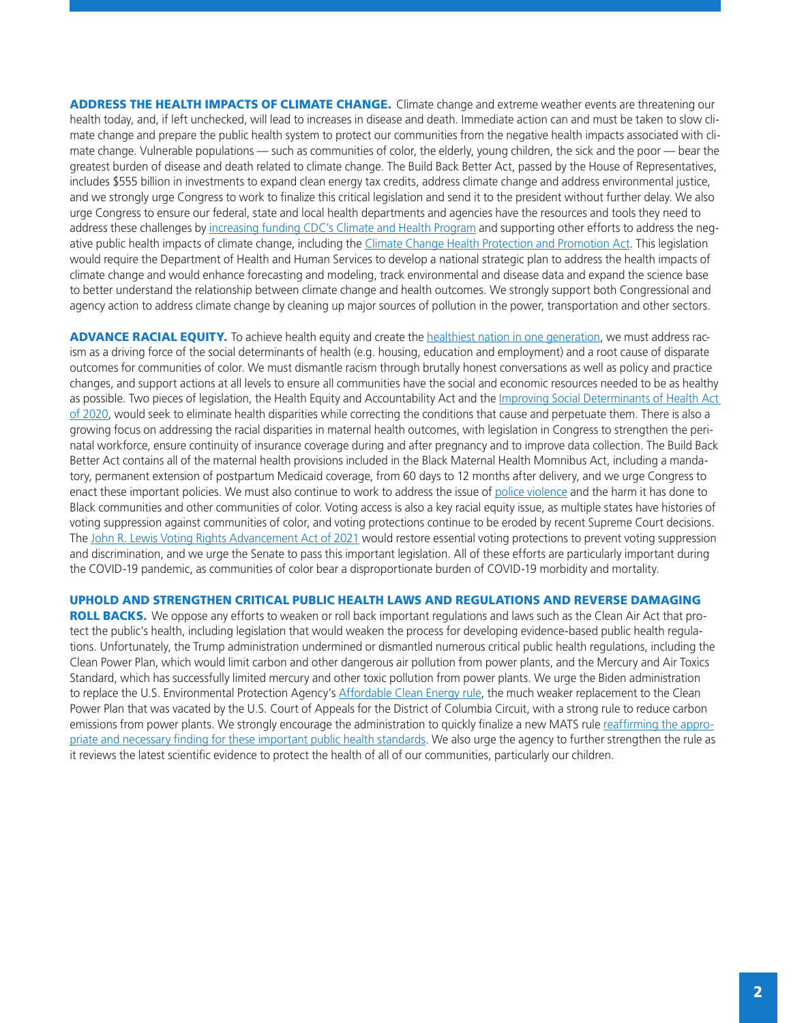ADDRESS THE HEALTH IMPACTS OF CLIMATE CHANGE. Climate change and extreme weather events are threatening our health today, and, if left unchecked, will lead to increases in disease and death. Immediate action can and must be taken to slow climate change and prepare the public health system to protect our communities from the negative health impacts associated with climate change. Vulnerable populations — such as communities of color, the elderly, young children, the sick and the poor — bear the greatest burden of disease and death related to climate change. The Build Back Better Act, passed by the House of Representatives, includes \$555 billion in investments to expand clean energy tax credits, address climate change and address environmental justice, and we strongly urge Congress to work to finalize this critical legislation and send it to the president without further delay. We also urge Congress to ensure our federal, state and local health departments and agencies have the resources and tools they need to address these challenges by [increasing funding CDC's Climate and Health Program](https://www.apha.org/-/media/Files/PDF/advocacy/letters/2021/210624_FY22_CDC_climate_health.ashx) and supporting other efforts to address the negative public health impacts of climate change, including the [Climate Change Health Protection and Promotion Act.](https://www.markey.senate.gov/news/press-releases/senator-markey-rep-cartwright-reintroduce-legislation-to-prepare-for-health-impacts-of-climate-change#:~:text=Markey (D-Mass) and,health sector and directing the) This legislation would require the Department of Health and Human Services to develop a national strategic plan to address the health impacts of climate change and would enhance forecasting and modeling, track environmental and disease data and expand the science base to better understand the relationship between climate change and health outcomes. We strongly support both Congressional and agency action to address climate change by cleaning up major sources of pollution in the power, transportation and other sectors.

ADVANCE RACIAL EQUITY. To achieve health equity and create the [healthiest nation in one generation,](https://www.apha.org/what-is-public-health/generation-public-health) we must address racism as a driving force of the social determinants of health (e.g. housing, education and employment) and a root cause of disparate outcomes for communities of color. We must dismantle racism through brutally honest conversations as well as policy and practice changes, and support actions at all levels to ensure all communities have the social and economic resources needed to be as healthy as possible. Two pieces of legislation, the Health Equity and Accountability Act and the Improving Social Determinants of Health Act [of 2020,](https://www.apha.org/-/media/Files/PDF/advocacy/letters/2021/210709_Improving_Social_Determinants_of_Health.ashx) would seek to eliminate health disparities while correcting the conditions that cause and perpetuate them. There is also a growing focus on addressing the racial disparities in maternal health outcomes, with legislation in Congress to strengthen the perinatal workforce, ensure continuity of insurance coverage during and after pregnancy and to improve data collection. The Build Back Better Act contains all of the maternal health provisions included in the Black Maternal Health Momnibus Act, including a mandatory, permanent extension of postpartum Medicaid coverage, from 60 days to 12 months after delivery, and we urge Congress to enact these important policies. We must also continue to work to address the issue of [police violence](https://www.apha.org/-/media/Files/PDF/advocacy/letters/2021/210301_George_Floyd_Justice_In_Policing_Act.ashx) and the harm it has done to Black communities and other communities of color. Voting access is also a key racial equity issue, as multiple states have histories of voting suppression against communities of color, and voting protections continue to be eroded by recent Supreme Court decisions. The [John R. Lewis Voting Rights Advancement Act of 2021](https://www.apha.org/-/media/Files/PDF/advocacy/letters/2021/210823_Lewis_Voting_Rights_Advancement.ashx) would restore essential voting protections to prevent voting suppression and discrimination, and we urge the Senate to pass this important legislation. All of these efforts are particularly important during the COVID-19 pandemic, as communities of color bear a disproportionate burden of COVID-19 morbidity and mortality.

## UPHOLD AND STRENGTHEN CRITICAL PUBLIC HEALTH LAWS AND REGULATIONS AND REVERSE DAMAGING

ROLL BACKS. We oppose any efforts to weaken or roll back important regulations and laws such as the Clean Air Act that protect the public's health, including legislation that would weaken the process for developing evidence-based public health regulations. Unfortunately, the Trump administration undermined or dismantled numerous critical public health regulations, including the Clean Power Plan, which would limit carbon and other dangerous air pollution from power plants, and the Mercury and Air Toxics Standard, which has successfully limited mercury and other toxic pollution from power plants. We urge the Biden administration to replace the U.S. Environmental Protection Agency's [Affordable Clean Energy rule,](https://www.apha.org/News-and-Media/News-Releases/APHA-News-Releases/2021/Applauding-court-decision-on-ACE-rule) the much weaker replacement to the Clean Power Plan that was vacated by the U.S. Court of Appeals for the District of Columbia Circuit, with a strong rule to reduce carbon emissions from power plants. We strongly encourage the administration to quickly finalize a new MATS rule [reaffirming the appro](https://www.apha.org/News-and-Media/News-Releases/APHA-News-Releases/2022/EPA-Toxics)[priate and necessary finding for these important public health standards](https://www.apha.org/News-and-Media/News-Releases/APHA-News-Releases/2022/EPA-Toxics). We also urge the agency to further strengthen the rule as it reviews the latest scientific evidence to protect the health of all of our communities, particularly our children.